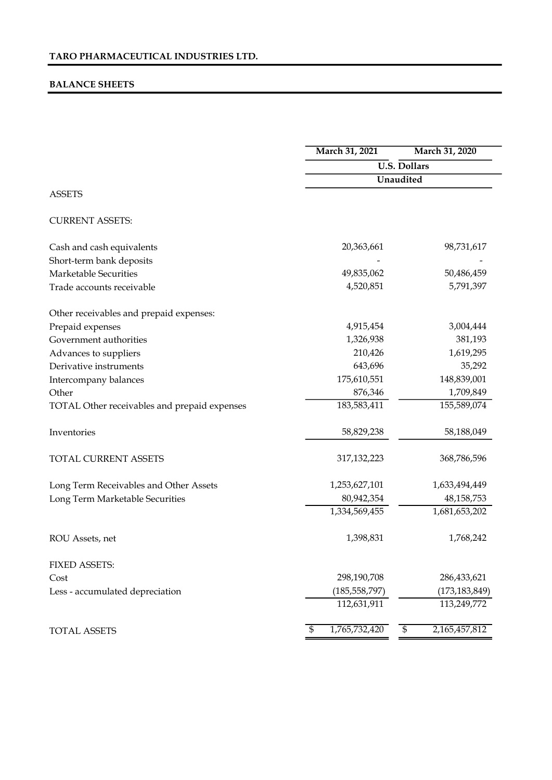# BALANCE SHEETS

|                                              | March 31, 2021                   | March 31, 2020                   |  |  |  |
|----------------------------------------------|----------------------------------|----------------------------------|--|--|--|
|                                              |                                  | <b>U.S. Dollars</b>              |  |  |  |
|                                              |                                  | Unaudited                        |  |  |  |
| <b>ASSETS</b>                                |                                  |                                  |  |  |  |
| <b>CURRENT ASSETS:</b>                       |                                  |                                  |  |  |  |
| Cash and cash equivalents                    | 20,363,661                       | 98,731,617                       |  |  |  |
| Short-term bank deposits                     |                                  |                                  |  |  |  |
| <b>Marketable Securities</b>                 | 49,835,062                       | 50,486,459                       |  |  |  |
| Trade accounts receivable                    | 4,520,851                        | 5,791,397                        |  |  |  |
| Other receivables and prepaid expenses:      |                                  |                                  |  |  |  |
| Prepaid expenses                             | 4,915,454                        | 3,004,444                        |  |  |  |
| Government authorities                       | 1,326,938                        | 381,193                          |  |  |  |
| Advances to suppliers                        | 210,426                          | 1,619,295                        |  |  |  |
| Derivative instruments                       | 643,696                          | 35,292                           |  |  |  |
| Intercompany balances                        | 175,610,551                      | 148,839,001                      |  |  |  |
| Other                                        | 876,346                          | 1,709,849                        |  |  |  |
| TOTAL Other receivables and prepaid expenses | 183,583,411                      | 155,589,074                      |  |  |  |
| Inventories                                  | 58,829,238                       | 58,188,049                       |  |  |  |
| TOTAL CURRENT ASSETS                         | 317, 132, 223                    | 368,786,596                      |  |  |  |
| Long Term Receivables and Other Assets       | 1,253,627,101                    | 1,633,494,449                    |  |  |  |
| Long Term Marketable Securities              | 80,942,354                       | 48, 158, 753                     |  |  |  |
|                                              | 1,334,569,455                    | 1,681,653,202                    |  |  |  |
| ROU Assets, net                              | 1,398,831                        | 1,768,242                        |  |  |  |
| <b>FIXED ASSETS:</b>                         |                                  |                                  |  |  |  |
| Cost                                         | 298,190,708                      | 286,433,621                      |  |  |  |
| Less - accumulated depreciation              | (185, 558, 797)                  | (173, 183, 849)                  |  |  |  |
|                                              | 112,631,911                      | 113,249,772                      |  |  |  |
| <b>TOTAL ASSETS</b>                          | 1,765,732,420<br>$\overline{\$}$ | 2,165,457,812<br>$\overline{\$}$ |  |  |  |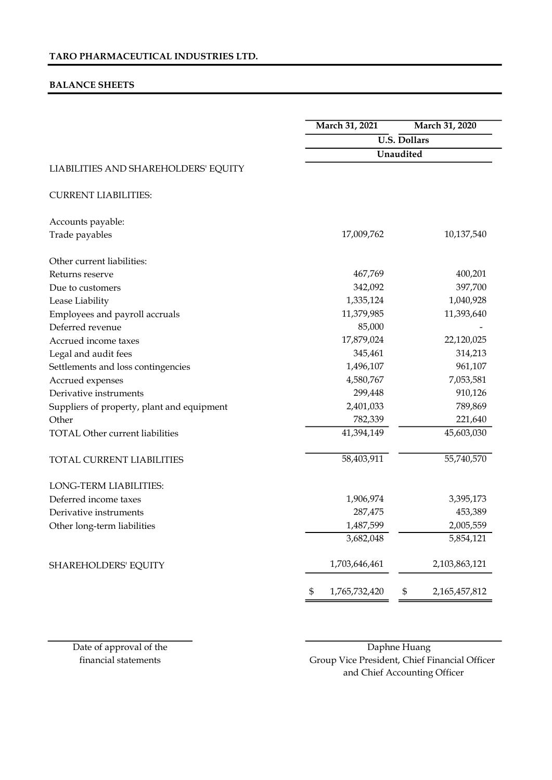# BALANCE SHEETS

|                                            | March 31, 2021      | March 31, 2020      |
|--------------------------------------------|---------------------|---------------------|
|                                            |                     | <b>U.S. Dollars</b> |
|                                            |                     | Unaudited           |
| LIABILITIES AND SHAREHOLDERS' EQUITY       |                     |                     |
| <b>CURRENT LIABILITIES:</b>                |                     |                     |
| Accounts payable:                          |                     |                     |
| Trade payables                             | 17,009,762          | 10,137,540          |
| Other current liabilities:                 |                     |                     |
| Returns reserve                            | 467,769             | 400,201             |
| Due to customers                           | 342,092             | 397,700             |
| Lease Liability                            | 1,335,124           | 1,040,928           |
| Employees and payroll accruals             | 11,379,985          | 11,393,640          |
| Deferred revenue                           | 85,000              |                     |
| Accrued income taxes                       | 17,879,024          | 22,120,025          |
| Legal and audit fees                       | 345,461             | 314,213             |
| Settlements and loss contingencies         | 1,496,107           | 961,107             |
| Accrued expenses                           | 4,580,767           | 7,053,581           |
| Derivative instruments                     | 299,448             | 910,126             |
| Suppliers of property, plant and equipment | 2,401,033           | 789,869             |
| Other                                      | 782,339             | 221,640             |
| <b>TOTAL Other current liabilities</b>     | 41,394,149          | 45,603,030          |
| TOTAL CURRENT LIABILITIES                  | 58,403,911          | 55,740,570          |
| LONG-TERM LIABILITIES:                     |                     |                     |
| Deferred income taxes                      | 1,906,974           | 3,395,173           |
| Derivative instruments                     | 287,475             | 453,389             |
| Other long-term liabilities                | 1,487,599           | 2,005,559           |
|                                            | 3,682,048           | 5,854,121           |
| SHAREHOLDERS' EQUITY                       | 1,703,646,461       | 2,103,863,121       |
|                                            | 1,765,732,420<br>\$ | 2,165,457,812<br>\$ |

financial statements

Date of approval of the Daphne Huang Group Vice President, Chief Financial Officer and Chief Accounting Officer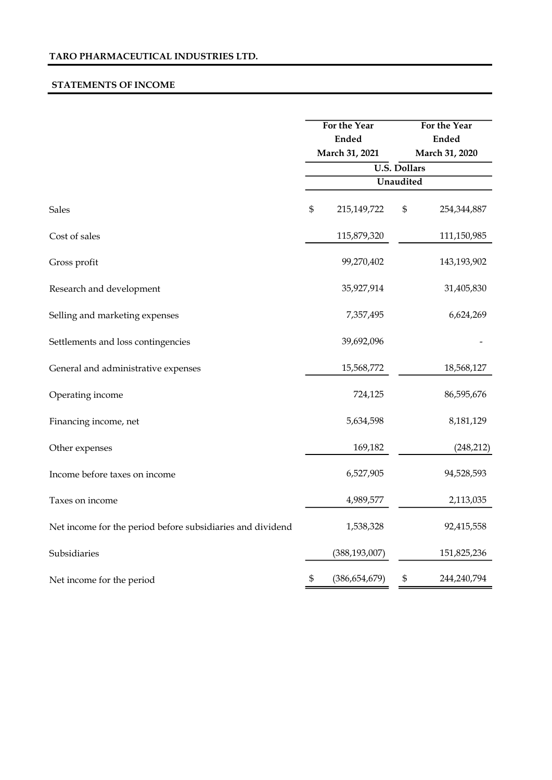### STATEMENTS OF INCOME

|                                                            | For the Year<br><b>Ended</b><br>March 31, 2021 |                 | For the Year<br><b>Ended</b><br>March 31, 2020 |             |
|------------------------------------------------------------|------------------------------------------------|-----------------|------------------------------------------------|-------------|
|                                                            |                                                |                 | <b>U.S. Dollars</b>                            |             |
|                                                            |                                                |                 | Unaudited                                      |             |
| <b>Sales</b>                                               | \$                                             | 215,149,722     | \$                                             | 254,344,887 |
| Cost of sales                                              |                                                | 115,879,320     |                                                | 111,150,985 |
| Gross profit                                               |                                                | 99,270,402      |                                                | 143,193,902 |
| Research and development                                   |                                                | 35,927,914      |                                                | 31,405,830  |
| Selling and marketing expenses                             |                                                | 7,357,495       |                                                | 6,624,269   |
| Settlements and loss contingencies                         |                                                | 39,692,096      |                                                |             |
| General and administrative expenses                        |                                                | 15,568,772      |                                                | 18,568,127  |
| Operating income                                           |                                                | 724,125         |                                                | 86,595,676  |
| Financing income, net                                      |                                                | 5,634,598       |                                                | 8,181,129   |
| Other expenses                                             |                                                | 169,182         |                                                | (248, 212)  |
| Income before taxes on income                              |                                                | 6,527,905       |                                                | 94,528,593  |
| Taxes on income                                            |                                                | 4,989,577       |                                                | 2,113,035   |
| Net income for the period before subsidiaries and dividend |                                                | 1,538,328       |                                                | 92,415,558  |
| Subsidiaries                                               |                                                | (388, 193, 007) |                                                | 151,825,236 |
| Net income for the period                                  | \$                                             | (386, 654, 679) | \$                                             | 244,240,794 |